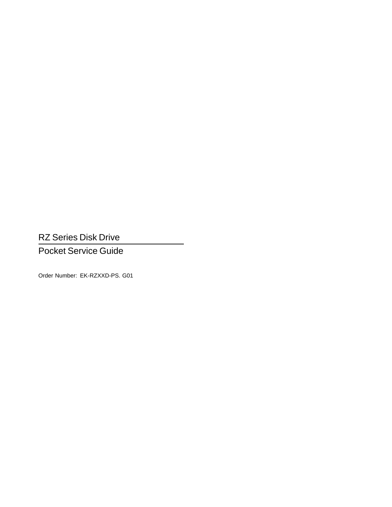RZ Series Disk Drive

Pocket Service Guide

Order Number: EK-RZXXD-PS. G01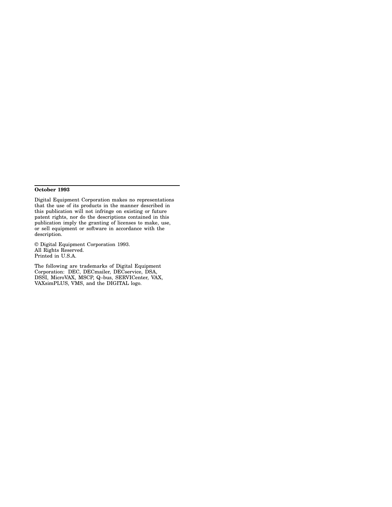#### **October 1993**

Digital Equipment Corporation makes no representations that the use of its products in the manner described in this publication will not infringe on existing or future patent rights, nor do the descriptions contained in this publication imply the granting of licenses to make, use, or sell equipment or software in accordance with the description.

© Digital Equipment Corporation 1993. All Rights Reserved. Printed in U.S.A.

The following are trademarks of Digital Equipment Corporation: DEC, DECmailer, DECservice, DSA, DSSI, MicroVAX, MSCP, Q–bus, SERVICenter, VAX, VAXsimPLUS, VMS, and the DIGITAL logo.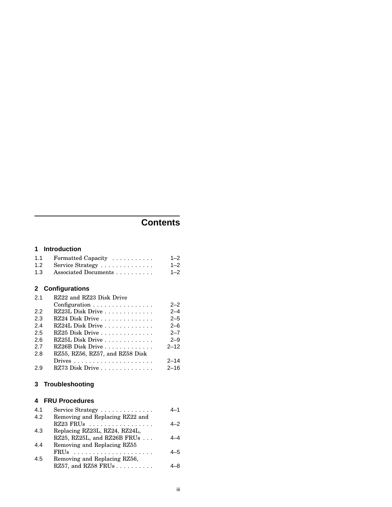# **Contents**

### **1 Introduction**

| 1.1 | Formatted Capacity       | $1 - 2$ |
|-----|--------------------------|---------|
| 1.2 | Service Strategy         | $1 - 2$ |
| 1.3 | Associated Documents     | $1 - 2$ |
|     | 2 Configurations         |         |
| 21  | RZ22 and RZ23 Disk Drive |         |
|     | Configuration            | $2 - 2$ |
| 2.2 | RZ23L Disk Drive         | $2 - 4$ |
| 2.3 | RZ24 Disk Drive          | $2 - 5$ |
| 2.4 | RZ24L Disk Drive         | $2 - 6$ |
| 2.5 | $RZ25$ Disk Drive        | $2 - 7$ |
| 2.6 | RZ25L Disk Drive         | $2 - 9$ |

| 2.7<br>RZ26B Disk Drive<br>RZ55, RZ56, RZ57, and RZ58 Disk<br>2.8<br>2.9 |                 | - -      |
|--------------------------------------------------------------------------|-----------------|----------|
|                                                                          |                 | $2 - 12$ |
|                                                                          |                 |          |
|                                                                          |                 | $2 - 14$ |
|                                                                          | RZ73 Disk Drive | $2 - 16$ |

## **3 Troubleshooting**

## **4 FRU Procedures**

| 4.1 | Service Strategy                | 4–1 |
|-----|---------------------------------|-----|
| 4.2 | Removing and Replacing RZ22 and |     |
|     | $RZ23$ FRUs                     | 4–2 |
| 4.3 | Replacing RZ23L, RZ24, RZ24L,   |     |
|     | RZ25, RZ25L, and RZ26B FRUs     |     |
| 4.4 | Removing and Replacing RZ55     |     |
|     | FRUs                            | 4–5 |
| 4.5 | Removing and Replacing RZ56,    |     |
|     | RZ57, and RZ58 FRUs             |     |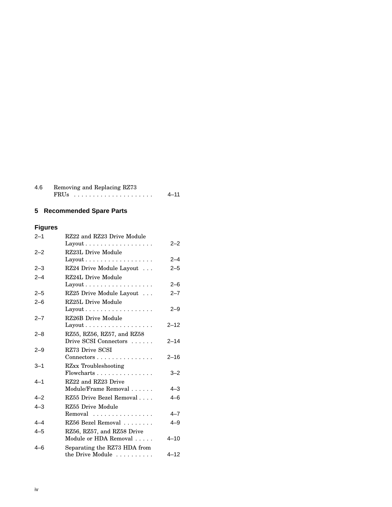| 4.6 | Removing and Replacing RZ73 |      |  |
|-----|-----------------------------|------|--|
|     | FRUs                        | 4-11 |  |

# **5 Recommended Spare Parts**

# **Figures**

| $2 - 1$ | RZ22 and RZ23 Drive Module                       |          |
|---------|--------------------------------------------------|----------|
|         |                                                  | $2 - 2$  |
| $2 - 2$ | RZ23L Drive Module                               |          |
|         | $Layout \ldots \ldots \ldots \ldots \ldots$      | $2 - 4$  |
| $2 - 3$ | RZ24 Drive Module Layout                         | $2 - 5$  |
| $2 - 4$ | RZ24L Drive Module                               |          |
|         | $Layout \ldots \ldots \ldots \ldots \ldots$      | $2 - 6$  |
| $2 - 5$ | RZ25 Drive Module Layout                         | $2 - 7$  |
| $2 - 6$ | RZ25L Drive Module                               |          |
|         |                                                  | $2 - 9$  |
| $2 - 7$ | RZ26B Drive Module                               |          |
|         | $Layout \ldots \ldots \ldots \ldots \ldots$      | $2 - 12$ |
| $2 - 8$ | RZ55, RZ56, RZ57, and RZ58                       |          |
|         | Drive SCSI Connectors                            | $2 - 14$ |
| $2 - 9$ | RZ73 Drive SCSI                                  |          |
|         | $Connectors \ldots \ldots \ldots \ldots \ldots$  | $2 - 16$ |
| $3 - 1$ | <b>RZxx Troubleshooting</b>                      |          |
|         | $Flow charts \ldots \ldots \ldots \ldots \ldots$ | $3 - 2$  |
| $4 - 1$ | RZ22 and RZ23 Drive                              |          |
|         | Module/Frame Removal                             | $4 - 3$  |
| $4 - 2$ | RZ55 Drive Bezel Removal                         | $4 - 6$  |
| $4 - 3$ | RZ55 Drive Module                                |          |
|         | Removal                                          | $4 - 7$  |
| $4 - 4$ | RZ56 Bezel Removal                               | $4 - 9$  |
| $4 - 5$ | RZ56, RZ57, and RZ58 Drive                       |          |
|         | Module or HDA Removal                            | $4 - 10$ |
| $4 - 6$ | Separating the RZ73 HDA from                     |          |
|         | the Drive Module                                 | $4 - 12$ |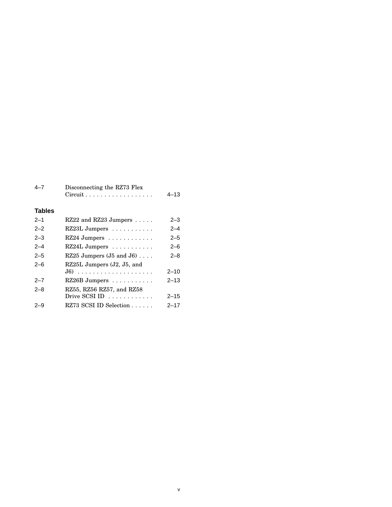| $4 - 7$       | Disconnecting the RZ73 Flex<br>$Circuit \ldots \ldots \ldots \ldots \ldots \ldots$ | $4 - 13$ |
|---------------|------------------------------------------------------------------------------------|----------|
| <b>Tables</b> |                                                                                    |          |
| $2 - 1$       | RZ22 and RZ23 Jumpers                                                              | $2 - 3$  |
| $2 - 2$       | $RZ23L$ Jumpers $\ldots \ldots \ldots$                                             | $2 - 4$  |
| $2 - 3$       | RZ24 Jumpers                                                                       | $2 - 5$  |
| $2 - 4$       | RZ24L Jumpers                                                                      | $2 - 6$  |
| $2 - 5$       | RZ25 Jumpers $(J5$ and $J6)$                                                       | $2 - 8$  |
| $2 - 6$       | RZ25L Jumpers (J2, J5, and                                                         |          |
|               | $J6)$                                                                              | $2 - 10$ |
| $2 - 7$       | RZ26B Jumpers                                                                      | $2 - 13$ |
| $2 - 8$       | RZ55, RZ56 RZ57, and RZ58                                                          |          |
|               | Drive SCSI ID                                                                      | $2 - 15$ |
| 2–9           | RZ73 SCSI ID Selection                                                             | 2–17     |

v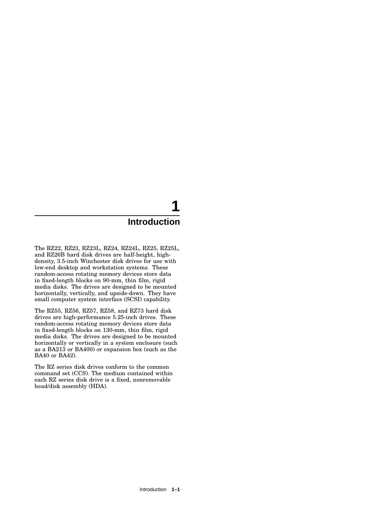# **1 Introduction**

The RZ22, RZ23, RZ23L, RZ24, RZ24L, RZ25, RZ25L, and RZ26B hard disk drives are half-height, highdensity, 3.5-inch Winchester disk drives for use with low-end desktop and workstation systems. These random-access rotating memory devices store data in fixed-length blocks on 90-mm, thin film, rigid media disks. The drives are designed to be mounted horizontally, vertically, and upside-down. They have small computer system interface (SCSI) capability.

The RZ55, RZ56, RZ57, RZ58, and RZ73 hard disk drives are high-performance 5.25-inch drives. These random-access rotating memory devices store data in fixed-length blocks on 130-mm, thin film, rigid media disks. The drives are designed to be mounted horizontally or vertically in a system enclosure (such as a BA213 or BA400) or expansion box (such as the BA40 or BA42).

The RZ series disk drives conform to the common command set (CCS). The medium contained within each RZ series disk drive is a fixed, nonremovable head/disk assembly (HDA).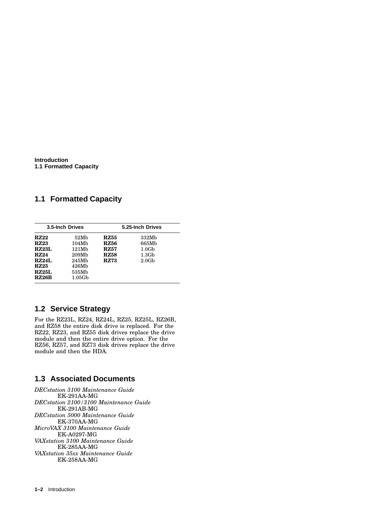**Introduction 1.1 Formatted Capacity**

## **1.1 Formatted Capacity**

| 3.5-Inch Drives |                   | 5.25-Inch Drives |                   |
|-----------------|-------------------|------------------|-------------------|
| <b>RZ22</b>     | 52M <sub>b</sub>  | RZ55             | 332Mb             |
| <b>RZ23</b>     | 104Mb             | RZ56             | 665Mb             |
| <b>RZ23L</b>    | 121Mb             | RZ57             | 1.0G <sub>b</sub> |
| <b>RZ24</b>     | 209M <sub>b</sub> | <b>RZ58</b>      | 1.3 <sub>Gb</sub> |
| RZ24L           | 245Mb             | <b>RZ73</b>      | 2.0 <sub>cb</sub> |
| RZ25            | 426Mb             |                  |                   |
| <b>RZ25L</b>    | 535Mb             |                  |                   |
| <b>RZ26B</b>    | 1.05Gb            |                  |                   |

# **1.2 Service Strategy**

For the RZ23L, RZ24, RZ24L, RZ25, RZ25L, RZ26B, and RZ58 the entire disk drive is replaced. For the RZ22, RZ23, and RZ55 disk drives replace the drive module and then the entire drive option. For the RZ56, RZ57, and RZ73 disk drives replace the drive module and then the HDA.

## **1.3 Associated Documents**

*DECstation 3100 Maintenance Guide* EK-291AA-MG *DECstation 2100/3100 Maintenance Guide* EK-291AB-MG *DECstation 5000 Maintenance Guide* EK-370AA-MG *MicroVAX 3100 Maintenance Guide* EK-A0297-MG *VAXstation 3100 Maintenance Guide* EK-285AA-MG *VAXstation 35xx Maintenance Guide* EK-258AA-MG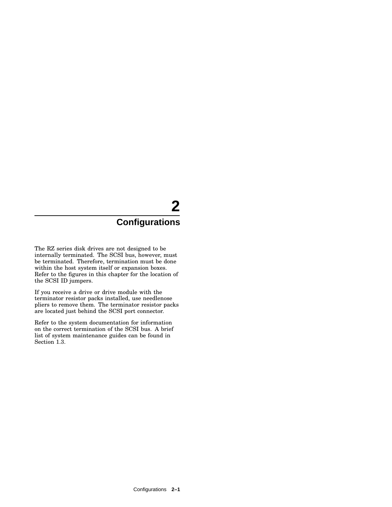# **2 Configurations**

The RZ series disk drives are not designed to be internally terminated. The SCSI bus, however, must be terminated. Therefore, termination must be done within the host system itself or expansion boxes. Refer to the figures in this chapter for the location of the SCSI ID jumpers.

If you receive a drive or drive module with the terminator resistor packs installed, use needlenose pliers to remove them. The terminator resistor packs are located just behind the SCSI port connector.

Refer to the system documentation for information on the correct termination of the SCSI bus. A brief list of system maintenance guides can be found in Section 1.3.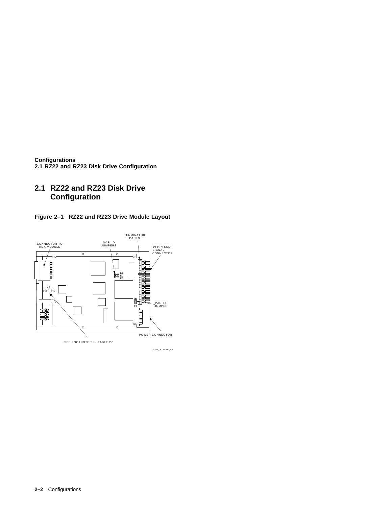**Configurations 2.1 RZ22 and RZ23 Disk Drive Configuration**

# **2.1 RZ22 and RZ23 Disk Drive Configuration**





SHR\_X1141B\_89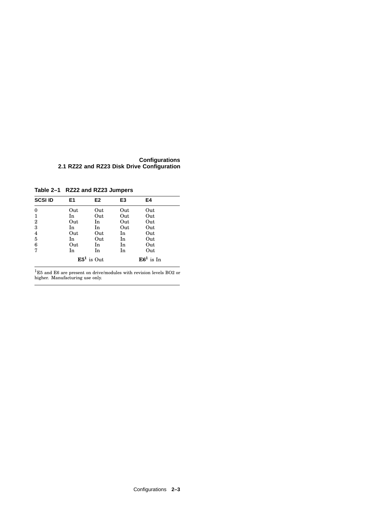**Configurations 2.1 RZ22 and RZ23 Disk Drive Configuration**

**Table 2–1 RZ22 and RZ23 Jumpers**

| <b>SCSI ID</b>   | E1  | E2           | E3  | E4          |  |
|------------------|-----|--------------|-----|-------------|--|
| $\bf{0}$         | Out | Out          | Out | Out         |  |
| 1                | In  | Out          | Out | Out         |  |
| $\boldsymbol{2}$ | Out | In           | Out | Out         |  |
| 3                | In  | In           | Out | Out         |  |
| $\overline{4}$   | Out | Out          | In  | Out         |  |
| 5                | In  | Out          | In  | Out         |  |
| 6                | Out | In           | In  | Out         |  |
| 7                | In  | In           | In  | Out         |  |
|                  |     | $E51$ is Out |     | $E61$ is In |  |

 $^1$ E5 and E6 are present on drive/modules with revision levels BO2 or higher. Manufacturing use only.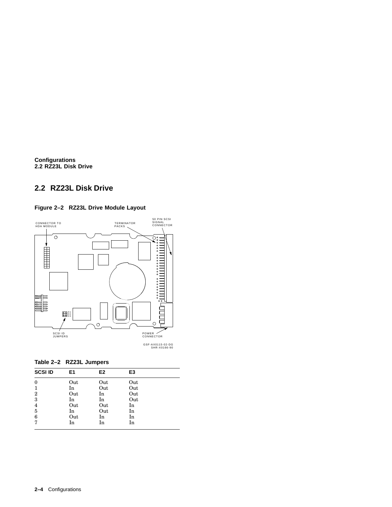**Configurations 2.2 RZ23L Disk Drive**

# **2.2 RZ23L Disk Drive**

## **Figure 2–2 RZ23L Drive Module Layout**



| <b>SCSI ID</b>   | E1  | E2  | E3  |  |
|------------------|-----|-----|-----|--|
| $\boldsymbol{0}$ | Out | Out | Out |  |
| 1                | In  | Out | Out |  |
| $\overline{2}$   | Out | In  | Out |  |
| 3                | In  | In  | Out |  |
| $\overline{4}$   | Out | Out | In  |  |
| 5                | In  | Out | In  |  |
| 6                | Out | In  | In  |  |
| 7                | In  | In  | In  |  |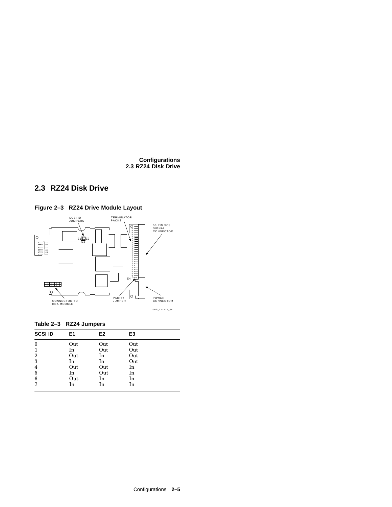**Configurations 2.3 RZ24 Disk Drive**

# **2.3 RZ24 Disk Drive**



**Table 2–3 RZ24 Jumpers**

| <b>SCSI ID</b>   | E1  | E2  | E3  |  |
|------------------|-----|-----|-----|--|
| $\boldsymbol{0}$ | Out | Out | Out |  |
| 1                | In  | Out | Out |  |
| $\overline{2}$   | Out | In  | Out |  |
| 3                | In  | In  | Out |  |
| $\overline{4}$   | Out | Out | In  |  |
| 5                | In  | Out | In  |  |
| 6                | Out | In  | In  |  |
| 7                | In  | In  | In  |  |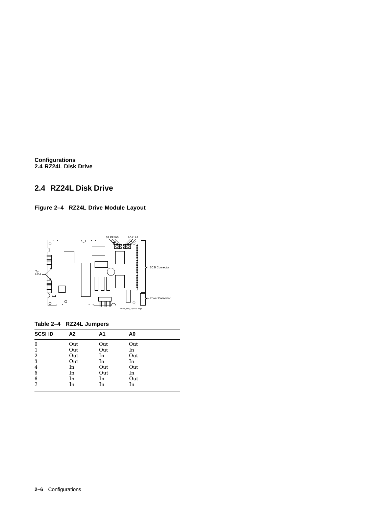**Configurations 2.4 RZ24L Disk Drive**

# **2.4 RZ24L Disk Drive**





## **Table 2–4 RZ24L Jumpers**

| <b>SCSI ID</b> | А2  | A1  | A0  |  |
|----------------|-----|-----|-----|--|
| $\bf{0}$       | Out | Out | Out |  |
| 1              | Out | Out | In  |  |
| $\overline{2}$ | Out | In  | Out |  |
| 3              | Out | In  | In  |  |
| $\overline{4}$ | In  | Out | Out |  |
| $\overline{5}$ | In  | Out | In  |  |
| 6              | In  | In  | Out |  |
| 7              | In  | In  | In  |  |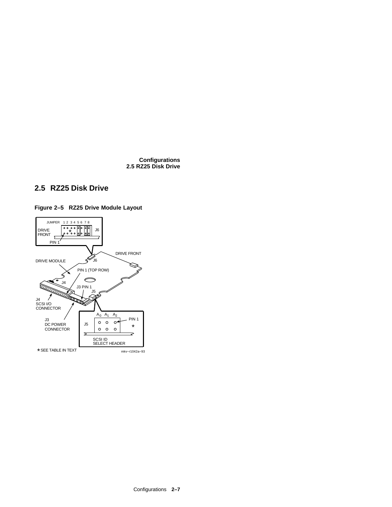#### **Configurations 2.5 RZ25 Disk Drive**

# **2.5 RZ25 Disk Drive**



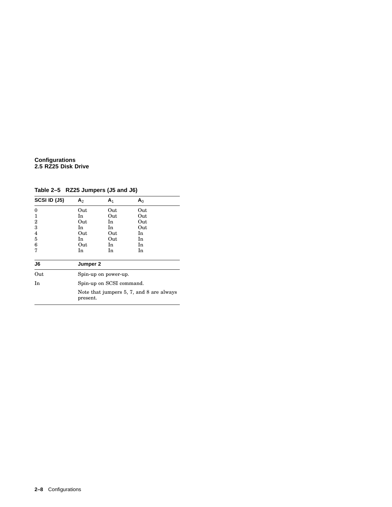#### **Configurations 2.5 RZ25 Disk Drive**

**Table 2–5 RZ25 Jumpers (J5 and J6)**

| <b>SCSI ID (J5)</b> | A <sub>2</sub> | A <sub>1</sub>           | A <sub>0</sub>                           |
|---------------------|----------------|--------------------------|------------------------------------------|
| $\theta$            | Out            | Out                      | Out                                      |
| 1                   | In             | Out                      | Out                                      |
| $\overline{2}$      | Out            | In                       | Out                                      |
| 3                   | In             | In.                      | Out                                      |
| 4                   | Out            | Out                      | In                                       |
| 5                   | In             | Out                      | In                                       |
| 6                   | Out            | In.                      | In                                       |
| 7                   | In             | In                       | In                                       |
| J6                  | Jumper 2       |                          |                                          |
| Out                 |                | Spin-up on power-up.     |                                          |
| In                  |                | Spin-up on SCSI command. |                                          |
|                     | present.       |                          | Note that jumpers 5, 7, and 8 are always |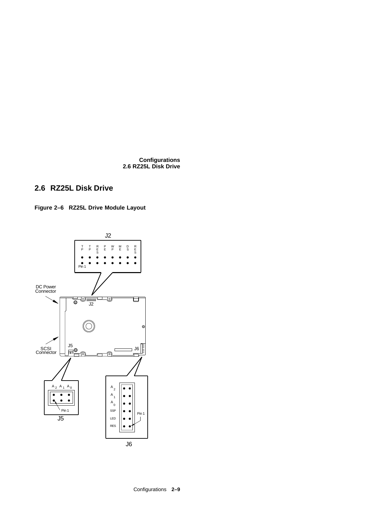**Configurations 2.6 RZ25L Disk Drive**

# **2.6 RZ25L Disk Drive**

**Figure 2–6 RZ25L Drive Module Layout**

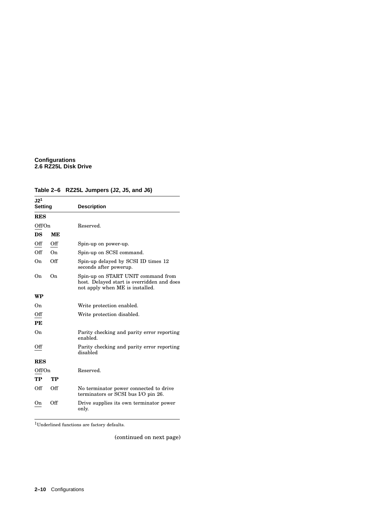#### **Configurations 2.6 RZ25L Disk Drive**

### **Table 2–6 RZ25L Jumpers (J2, J5, and J6)**

| J2 <sup>1</sup><br><b>Setting</b> |     | <b>Description</b>                                                                                                  |
|-----------------------------------|-----|---------------------------------------------------------------------------------------------------------------------|
| <b>RES</b>                        |     |                                                                                                                     |
| Off/On                            |     | Reserved.                                                                                                           |
| DS                                | ME  |                                                                                                                     |
| Off                               | Off | Spin-up on power-up.                                                                                                |
| Off                               | On. | Spin-up on SCSI command.                                                                                            |
| On                                | Off | Spin-up delayed by SCSI ID times 12<br>seconds after powerup.                                                       |
| On.                               | On. | Spin-up on START UNIT command from<br>host. Delayed start is overridden and does<br>not apply when ME is installed. |
| WP                                |     |                                                                                                                     |
| On                                |     | Write protection enabled.                                                                                           |
| Off                               |     | Write protection disabled.                                                                                          |
| PE                                |     |                                                                                                                     |
| On                                |     | Parity checking and parity error reporting<br>enabled.                                                              |
| Off                               |     | Parity checking and parity error reporting<br>disabled                                                              |
| <b>RES</b>                        |     |                                                                                                                     |
| Off/On                            |     | Reserved.                                                                                                           |
| TP                                | TP  |                                                                                                                     |
| Off                               | Off | No terminator power connected to drive<br>terminators or SCSI bus I/O pin 26.                                       |
| On                                | Off | Drive supplies its own terminator power<br>only.                                                                    |

 $\rm ^1$  Underlined functions are factory defaults.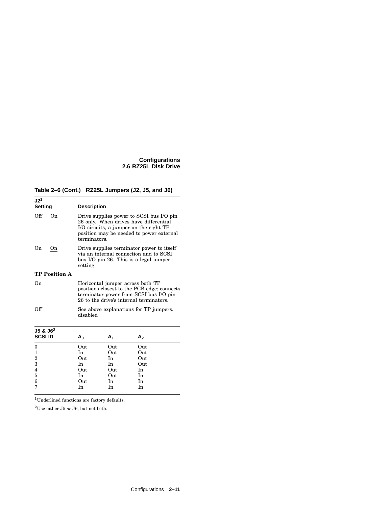#### **Configurations 2.6 RZ25L Disk Drive**

**Table 2–6 (Cont.) RZ25L Jumpers (J2, J5, and J6)**

| J2 <sup>1</sup><br><b>Setting</b> |                      | <b>Description</b> |                |                                                                                                                                                                          |  |
|-----------------------------------|----------------------|--------------------|----------------|--------------------------------------------------------------------------------------------------------------------------------------------------------------------------|--|
| Off                               | 0 <sub>n</sub>       | terminators.       |                | Drive supplies power to SCSI bus I/O pin<br>26 only. When drives have differential<br>I/O circuits, a jumper on the right TP<br>position may be needed to power external |  |
| On                                | On                   | setting.           |                | Drive supplies terminator power to itself<br>via an internal connection and to SCSI<br>bus I/O pin 26. This is a legal jumper                                            |  |
|                                   | <b>TP Position A</b> |                    |                |                                                                                                                                                                          |  |
| On                                |                      |                    |                | Horizontal jumper across both TP<br>positions closest to the PCB edge; connects<br>terminator power from SCSI bus I/O pin<br>26 to the drive's internal terminators.     |  |
| Off                               |                      | disabled           |                | See above explanations for TP jumpers.                                                                                                                                   |  |
| $J5$ & $J62$                      |                      |                    |                |                                                                                                                                                                          |  |
| <b>SCSI ID</b>                    |                      | A <sub>0</sub>     | A <sub>1</sub> | A <sub>2</sub>                                                                                                                                                           |  |
| 0                                 |                      | Out                | Out            | Out                                                                                                                                                                      |  |
| $\mathbf{1}$                      |                      | In.                | Out            | Out                                                                                                                                                                      |  |
| $\overline{2}$                    |                      | Out                | <b>In</b>      | Out                                                                                                                                                                      |  |
| 3                                 |                      | In                 | In             | Out                                                                                                                                                                      |  |
| 4                                 |                      | Out                | Out            | <b>In</b>                                                                                                                                                                |  |
| 5                                 |                      | In                 | Out            | In                                                                                                                                                                       |  |
| 6                                 |                      | Out                | In             | In                                                                                                                                                                       |  |
| 7                                 |                      | In                 | In             | In                                                                                                                                                                       |  |

 $\rm ^1$  Underlined functions are factory defaults.

 $^2\mathrm{Use}$  either J5  $or$  J6, but not both.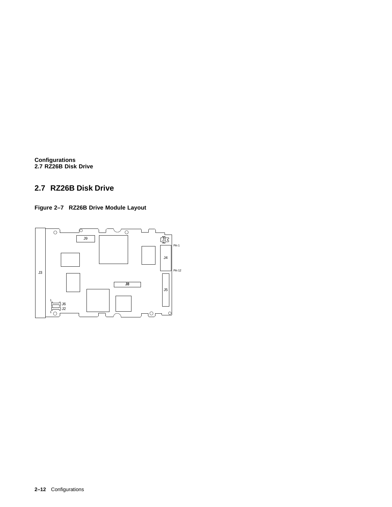**Configurations 2.7 RZ26B Disk Drive**

# **2.7 RZ26B Disk Drive**

**Figure 2–7 RZ26B Drive Module Layout**

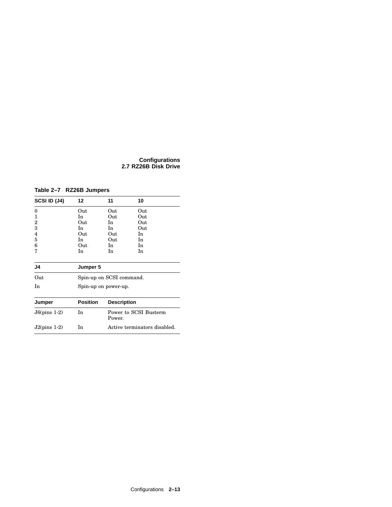#### **Configurations 2.7 RZ26B Disk Drive**

### **Table 2–7 RZ26B Jumpers**

| SCSI ID (J4)   | 12              | 11                       | 10                           |
|----------------|-----------------|--------------------------|------------------------------|
| 0              | Out             | Out                      | Out                          |
| 1              | In              | Out                      | Out                          |
| 2              | Out             | In                       | Out                          |
| 3              | In.             | In                       | Out                          |
| 4              | Out             | Out                      | In                           |
| 5              | In              | Out                      | In                           |
| 6              | Out             | In.                      | In                           |
| 7              | In              | In                       | In                           |
| J4             | Jumper 5        |                          |                              |
| Out            |                 | Spin-up on SCSI command. |                              |
| In             |                 | Spin-up on power-up.     |                              |
| Jumper         | <b>Position</b> | <b>Description</b>       |                              |
| $J6(pins 1-2)$ | In              | Power.                   | Power to SCSI Busterm        |
| $J2(pins 1-2)$ | In              |                          | Active terminators disabled. |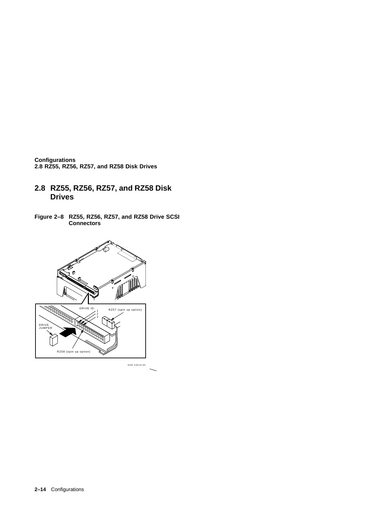**Configurations 2.8 RZ55, RZ56, RZ57, and RZ58 Disk Drives**

- **2.8 RZ55, RZ56, RZ57, and RZ58 Disk Drives**
- **Figure 2–8 RZ55, RZ56, RZ57, and RZ58 Drive SCSI Connectors**

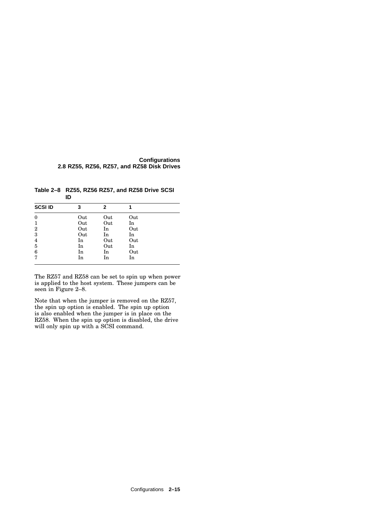#### **Configurations 2.8 RZ55, RZ56, RZ57, and RZ58 Disk Drives**

**Table 2–8 RZ55, RZ56 RZ57, and RZ58 Drive SCSI ID**

| <b>SCSI ID</b> | 3   | 2   |     |  |
|----------------|-----|-----|-----|--|
| $\mathbf{0}$   | Out | Out | Out |  |
| 1              | Out | Out | In  |  |
| $\overline{2}$ | Out | In  | Out |  |
| 3              | Out | In  | In  |  |
| $\overline{4}$ | In  | Out | Out |  |
| 5              | In  | Out | In  |  |
| 6              | In  | In  | Out |  |
| 7              | In  | In  | In  |  |

The RZ57 and RZ58 can be set to spin up when power is applied to the host system. These jumpers can be seen in Figure 2–8.

Note that when the jumper is removed on the RZ57, the spin up option is enabled. The spin up option is also enabled when the jumper is in place on the RZ58. When the spin up option is disabled, the drive will only spin up with a SCSI command.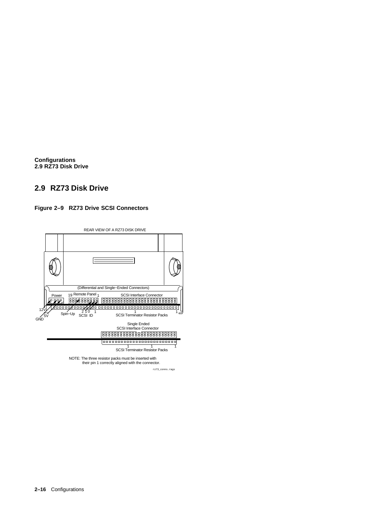**Configurations 2.9 RZ73 Disk Drive**

# **2.9 RZ73 Disk Drive**

### **Figure 2–9 RZ73 Drive SCSI Connectors**

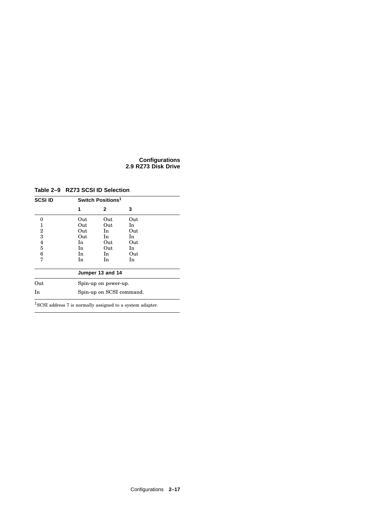#### **Configurations 2.9 RZ73 Disk Drive**

**Table 2–9 RZ73 SCSI ID Selection**

| <b>SCSI ID</b> |     | Switch Positions <sup>1</sup> |     |  |
|----------------|-----|-------------------------------|-----|--|
|                | 1   | 2                             | 3   |  |
| 0              | Out | Out                           | Out |  |
| 1              | Out | Out                           | In  |  |
| 2              | Out | In.                           | Out |  |
| 3              | Out | In.                           | In  |  |
| 4              | In  | Out                           | Out |  |
| 5              | In  | Out                           | In  |  |
| 6              | In. | In                            | Out |  |
| 7              | In  | In                            | In  |  |
|                |     | Jumper 13 and 14              |     |  |
| Out            |     | Spin-up on power-up.          |     |  |
| In             |     | Spin-up on SCSI command.      |     |  |

 $\rm ^1SCSI$  address 7 is normally assigned to a system adapter.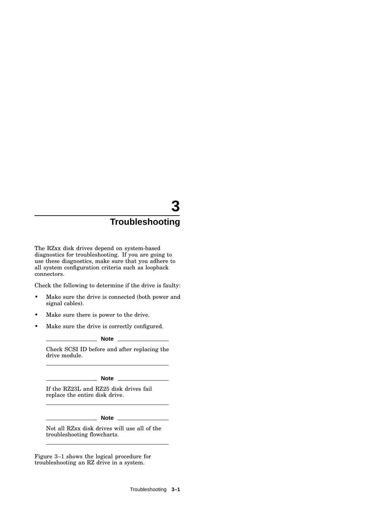The RZxx disk drives depend on system-based diagnostics for troubleshooting. If you are going to use these diagnostics, make sure that you adhere to all system configuration criteria such as loopback connectors.

Check the following to determine if the drive is faulty:

- Make sure the drive is connected (both power and signal cables).
- Make sure there is power to the drive.
- Make sure the drive is correctly configured.

**Note**

Check SCSI ID before and after replacing the drive module.

#### **Note**

If the RZ23L and RZ25 disk drives fail replace the entire disk drive.

**Note**

Not all RZxx disk drives will use all of the troubleshooting flowcharts.

Figure 3–1 shows the logical procedure for troubleshooting an RZ drive in a system.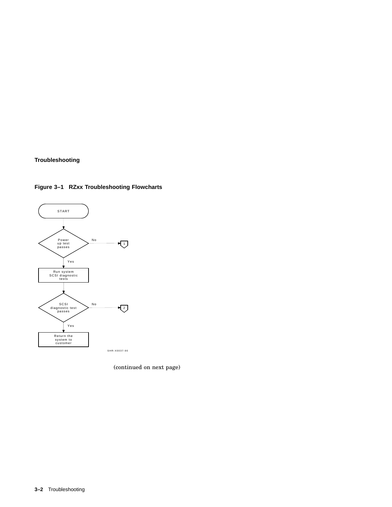

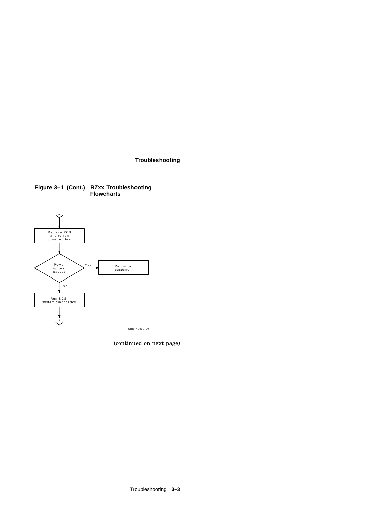

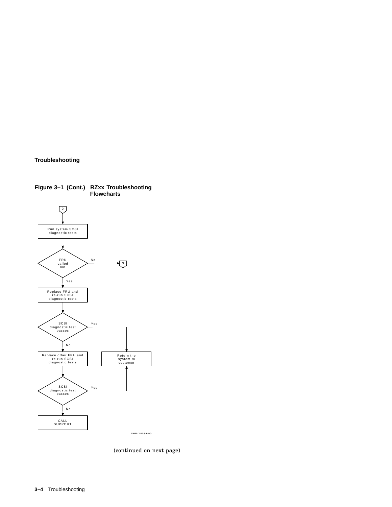

**Figure 3–1 (Cont.) RZxx Troubleshooting Flowcharts**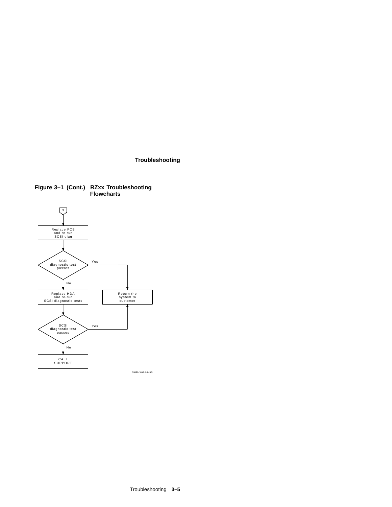

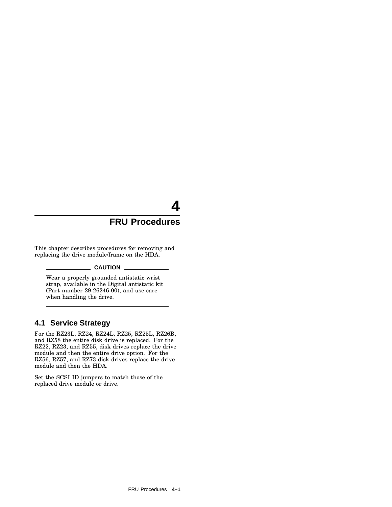# **4**

# **FRU Procedures**

This chapter describes procedures for removing and replacing the drive module/frame on the HDA.

#### $\_$  CAUTION  $\_$

Wear a properly grounded antistatic wrist strap, available in the Digital antistatic kit (Part number 29-26246-00), and use care when handling the drive.

### **4.1 Service Strategy**

For the RZ23L, RZ24, RZ24L, RZ25, RZ25L, RZ26B, and RZ58 the entire disk drive is replaced. For the RZ22, RZ23, and RZ55, disk drives replace the drive module and then the entire drive option. For the RZ56, RZ57, and RZ73 disk drives replace the drive module and then the HDA.

Set the SCSI ID jumpers to match those of the replaced drive module or drive.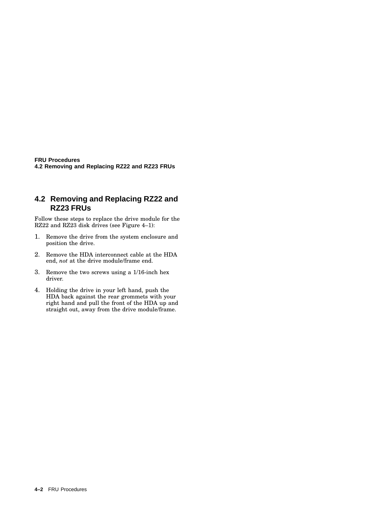**FRU Procedures 4.2 Removing and Replacing RZ22 and RZ23 FRUs**

## **4.2 Removing and Replacing RZ22 and RZ23 FRUs**

Follow these steps to replace the drive module for the RZ22 and RZ23 disk drives (see Figure 4–1):

- 1. Remove the drive from the system enclosure and position the drive.
- 2. Remove the HDA interconnect cable at the HDA end, *not* at the drive module/frame end.
- 3. Remove the two screws using a 1/16-inch hex driver.
- 4. Holding the drive in your left hand, push the HDA back against the rear grommets with your right hand and pull the front of the HDA up and straight out, away from the drive module/frame.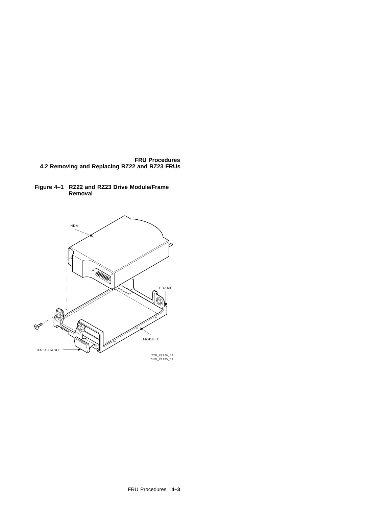





TTB\_X1236\_88 SHR\_X1135\_89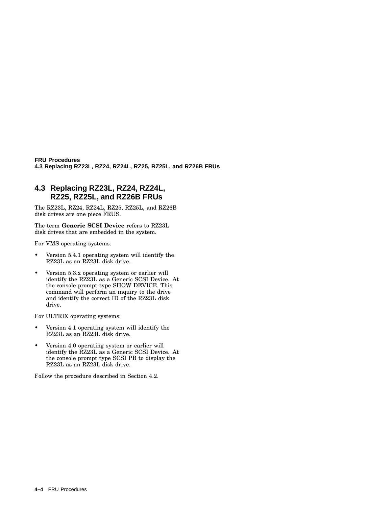**FRU Procedures 4.3 Replacing RZ23L, RZ24, RZ24L, RZ25, RZ25L, and RZ26B FRUs**

# **4.3 Replacing RZ23L, RZ24, RZ24L, RZ25, RZ25L, and RZ26B FRUs**

The RZ23L, RZ24, RZ24L, RZ25, RZ25L, and RZ26B disk drives are one piece FRUS.

The term **Generic SCSI Device** refers to RZ23L disk drives that are embedded in the system.

For VMS operating systems:

- Version 5.4.1 operating system will identify the RZ23L as an RZ23L disk drive.
- Version 5.3.x operating system or earlier will identify the RZ23L as a Generic SCSI Device. At the console prompt type SHOW DEVICE. This command will perform an inquiry to the drive and identify the correct ID of the RZ23L disk drive.

For ULTRIX operating systems:

- Version 4.1 operating system will identify the RZ23L as an RZ23L disk drive.
- Version 4.0 operating system or earlier will identify the RZ23L as a Generic SCSI Device. At the console prompt type SCSI PB to display the RZ23L as an RZ23L disk drive.

Follow the procedure described in Section 4.2.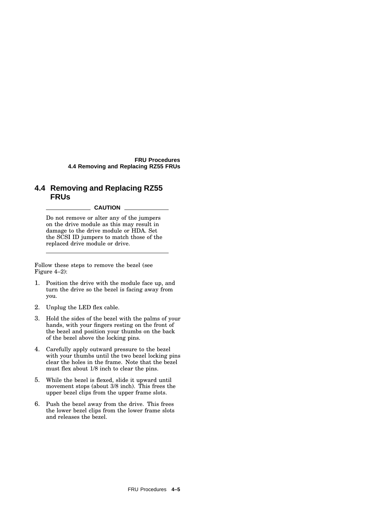**FRU Procedures 4.4 Removing and Replacing RZ55 FRUs**

## **4.4 Removing and Replacing RZ55 FRUs**

#### **CAUTION**

Do not remove or alter any of the jumpers on the drive module as this may result in damage to the drive module or HDA. Set the SCSI ID jumpers to match those of the replaced drive module or drive.

Follow these steps to remove the bezel (see Figure 4–2):

- 1. Position the drive with the module face up, and turn the drive so the bezel is facing away from you.
- 2. Unplug the LED flex cable.
- 3. Hold the sides of the bezel with the palms of your hands, with your fingers resting on the front of the bezel and position your thumbs on the back of the bezel above the locking pins.
- 4. Carefully apply outward pressure to the bezel with your thumbs until the two bezel locking pins clear the holes in the frame. Note that the bezel must flex about 1/8 inch to clear the pins.
- 5. While the bezel is flexed, slide it upward until movement stops (about 3/8 inch). This frees the upper bezel clips from the upper frame slots.
- 6. Push the bezel away from the drive. This frees the lower bezel clips from the lower frame slots and releases the bezel.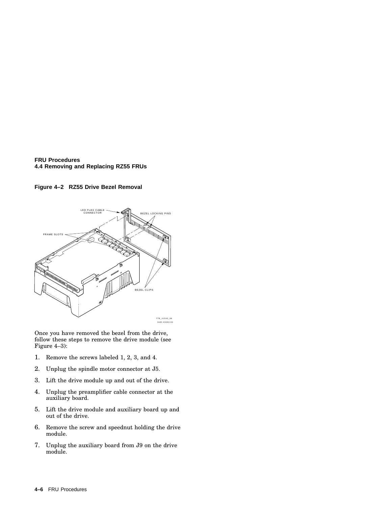**FRU Procedures 4.4 Removing and Replacing RZ55 FRUs**

#### **Figure 4–2 RZ55 Drive Bezel Removal**



Once you have removed the bezel from the drive, follow these steps to remove the drive module (see Figure 4–3):

- 1. Remove the screws labeled 1, 2, 3, and 4.
- 2. Unplug the spindle motor connector at J5.
- 3. Lift the drive module up and out of the drive.
- 4. Unplug the preamplifier cable connector at the auxiliary board.
- 5. Lift the drive module and auxiliary board up and out of the drive.
- 6. Remove the screw and speednut holding the drive module.
- 7. Unplug the auxiliary board from J9 on the drive module.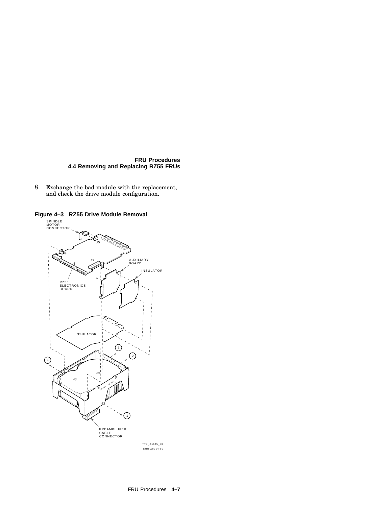#### **FRU Procedures 4.4 Removing and Replacing RZ55 FRUs**

8. Exchange the bad module with the replacement, and check the drive module configuration.

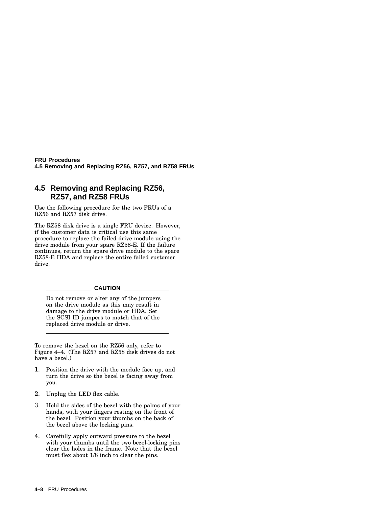**FRU Procedures 4.5 Removing and Replacing RZ56, RZ57, and RZ58 FRUs**

## **4.5 Removing and Replacing RZ56, RZ57, and RZ58 FRUs**

Use the following procedure for the two FRUs of a RZ56 and RZ57 disk drive.

The RZ58 disk drive is a single FRU device. However, if the customer data is critical use this same procedure to replace the failed drive module using the drive module from your spare RZ58-E. If the failure continues, return the spare drive module to the spare RZ58-E HDA and replace the entire failed customer drive.

#### **CAUTION**

Do not remove or alter any of the jumpers on the drive module as this may result in damage to the drive module or HDA. Set the SCSI ID jumpers to match that of the replaced drive module or drive.

To remove the bezel on the RZ56 only, refer to Figure 4–4. (The RZ57 and RZ58 disk drives do not have a bezel.)

- 1. Position the drive with the module face up, and turn the drive so the bezel is facing away from you.
- 2. Unplug the LED flex cable.
- 3. Hold the sides of the bezel with the palms of your hands, with your fingers resting on the front of the bezel. Position your thumbs on the back of the bezel above the locking pins.
- 4. Carefully apply outward pressure to the bezel with your thumbs until the two bezel-locking pins clear the holes in the frame. Note that the bezel must flex about 1/8 inch to clear the pins.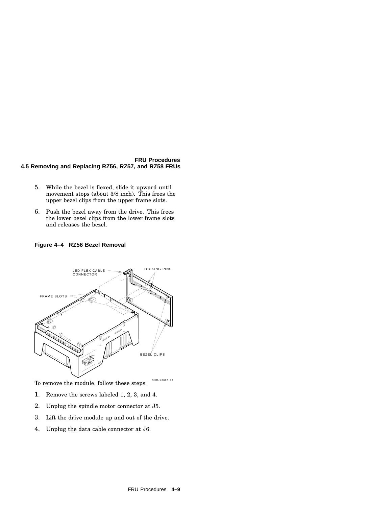#### **FRU Procedures 4.5 Removing and Replacing RZ56, RZ57, and RZ58 FRUs**

- 5. While the bezel is flexed, slide it upward until movement stops (about 3/8 inch). This frees the upper bezel clips from the upper frame slots.
- 6. Push the bezel away from the drive. This frees the lower bezel clips from the lower frame slots and releases the bezel.

**Figure 4–4 RZ56 Bezel Removal**



SHR-X0003-90 To remove the module, follow these steps:

- 1. Remove the screws labeled 1, 2, 3, and 4.
- 2. Unplug the spindle motor connector at J5.
- 3. Lift the drive module up and out of the drive.
- 4. Unplug the data cable connector at J6.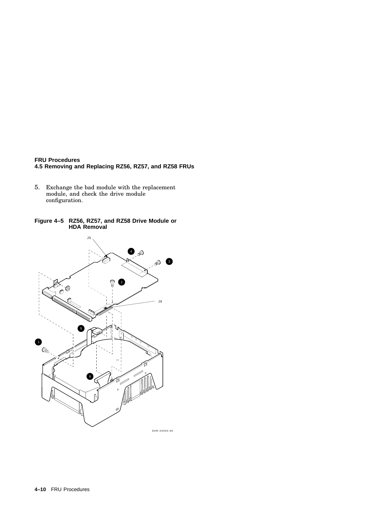#### **FRU Procedures 4.5 Removing and Replacing RZ56, RZ57, and RZ58 FRUs**

- 5. Exchange the bad module with the replacement module, and check the drive module configuration.
- **Figure 4–5 RZ56, RZ57, and RZ58 Drive Module or HDA Removal**

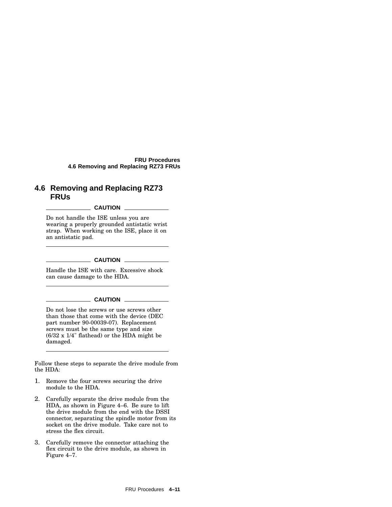**FRU Procedures 4.6 Removing and Replacing RZ73 FRUs**

## **4.6 Removing and Replacing RZ73 FRUs**

#### **CAUTION**

Do not handle the ISE unless you are wearing a properly grounded antistatic wrist strap. When working on the ISE, place it on an antistatic pad.

#### **CAUTION** \_\_\_\_\_\_\_\_

Handle the ISE with care. Excessive shock can cause damage to the HDA.

#### $\_$  CAUTION  $\_$

Do not lose the screws or use screws other than those that come with the device (DEC part number 90-00039-07). Replacement screws must be the same type and size (6/32 x 1/4" flathead) or the HDA might be damaged.

Follow these steps to separate the drive module from the HDA:

- 1. Remove the four screws securing the drive module to the HDA.
- 2. Carefully separate the drive module from the HDA, as shown in Figure 4–6. Be sure to lift the drive module from the end with the DSSI connector, separating the spindle motor from its socket on the drive module. Take care not to stress the flex circuit.
- 3. Carefully remove the connector attaching the flex circuit to the drive module, as shown in Figure 4–7.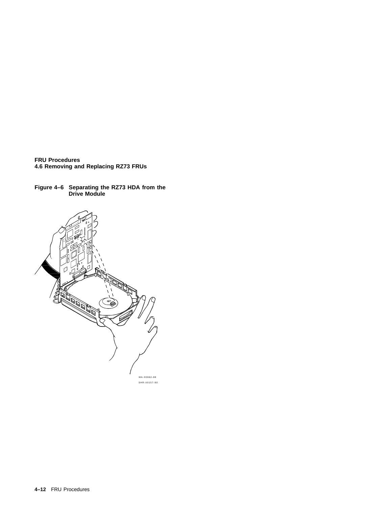**FRU Procedures 4.6 Removing and Replacing RZ73 FRUs**

**Figure 4–6 Separating the RZ73 HDA from the Drive Module**

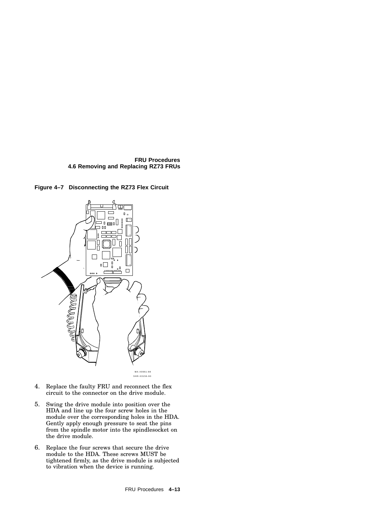





- 4. Replace the faulty FRU and reconnect the flex circuit to the connector on the drive module.
- 5. Swing the drive module into position over the HDA and line up the four screw holes in the module over the corresponding holes in the HDA. Gently apply enough pressure to seat the pins from the spindle motor into the spindlesocket on the drive module.
- 6. Replace the four screws that secure the drive module to the HDA. These screws MUST be tightened firmly, as the drive module is subjected to vibration when the device is running.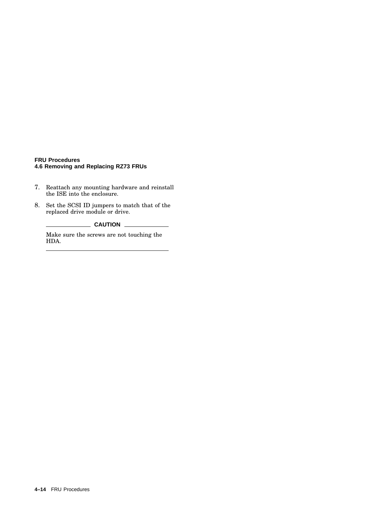#### **FRU Procedures 4.6 Removing and Replacing RZ73 FRUs**

- 7. Reattach any mounting hardware and reinstall the ISE into the enclosure.
- 8. Set the SCSI ID jumpers to match that of the replaced drive module or drive.

**CAUTION** 

Make sure the screws are not touching the HDA.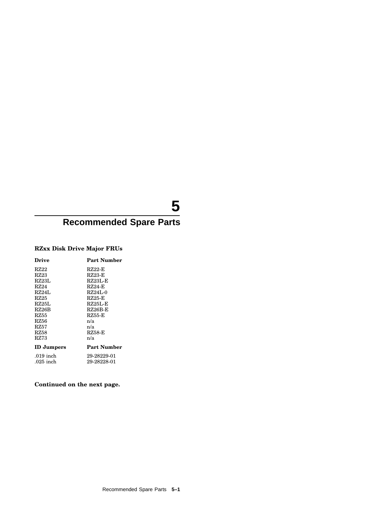# **5**

# **Recommended Spare Parts**

## **RZxx Disk Drive Major FRUs**

| Drive              | <b>Part Number</b> |
|--------------------|--------------------|
| RZ22               | $RZ22-F$           |
| RZ23               | $RZ23-F$           |
| RZ23L              | <b>RZ23L-E</b>     |
| RZ24               | $RZ24-F$           |
| RZ24L              | $RZ24L-0$          |
| RZ25               | RZ25-E             |
| RZ25L              | $RZ25L-E$          |
| RZ <sub>26</sub> B | $RZ26B$ -E         |
| RZ55               | RZ55-E             |
| RZ56               | n/a                |
| RZ57               | n/a                |
| RZ58               | <b>RZ58-E</b>      |
| RZ73               | n/a                |
| <b>ID</b> Jumpers  | <b>Part Number</b> |
| $.019$ inch        | 29-28229-01        |
| $.025$ inch        | 29-28228-01        |
|                    |                    |

## **Continued on the next page.**